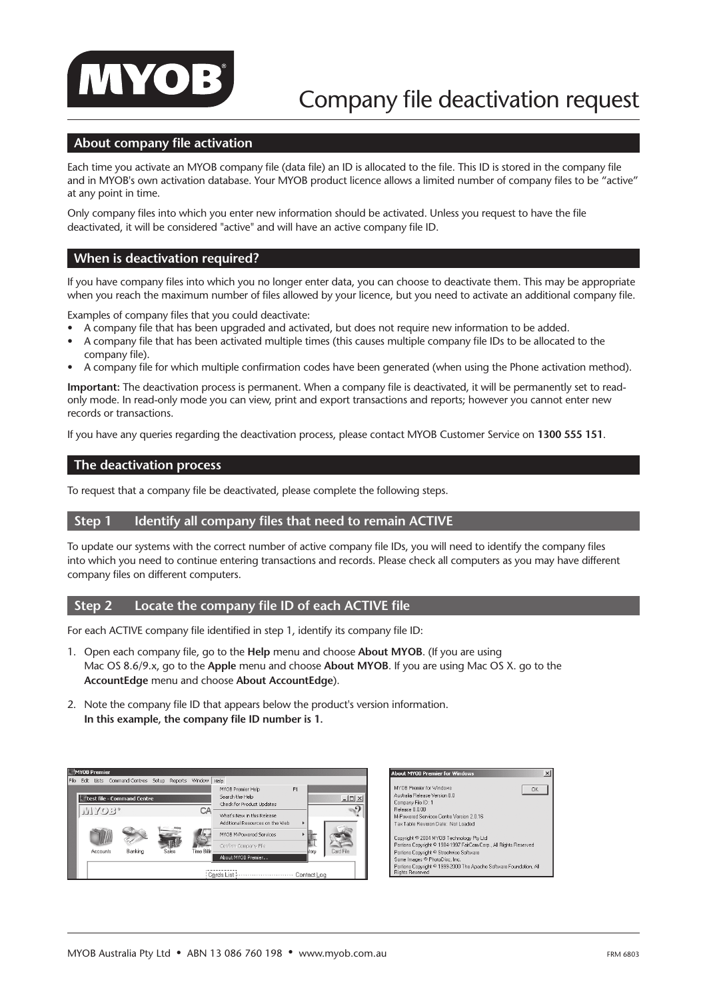

## **About company file activation**

Each time you activate an MYOB company file (data file) an ID is allocated to the file. This ID is stored in the company file and in MYOB's own activation database. Your MYOB product licence allows a limited number of company files to be "active" at any point in time.

Only company files into which you enter new information should be activated. Unless you request to have the file deactivated, it will be considered "active" and will have an active company file ID.

#### **When is deactivation required?**

If you have company files into which you no longer enter data, you can choose to deactivate them. This may be appropriate when you reach the maximum number of files allowed by your licence, but you need to activate an additional company file.

Examples of company files that you could deactivate:

- A company file that has been upgraded and activated, but does not require new information to be added.
- A company file that has been activated multiple times (this causes multiple company file IDs to be allocated to the company file).
- A company file for which multiple confirmation codes have been generated (when using the Phone activation method).

**Important:** The deactivation process is permanent. When a company file is deactivated, it will be permanently set to readonly mode. In read-only mode you can view, print and export transactions and reports; however you cannot enter new records or transactions.

If you have any queries regarding the deactivation process, please contact MYOB Customer Service on **1300 555 151**.

#### **The deactivation process**

To request that a company file be deactivated, please complete the following steps.

#### **Step 1** Identify all company files that need to remain ACTIVE

To update our systems with the correct number of active company file IDs, you will need to identify the company files into which you need to continue entering transactions and records. Please check all computers as you may have different company files on different computers.

### **Step 2 Locate the company file ID of each ACTIVE file**

For each ACTIVE company file identified in step 1, identify its company file ID:

- 1. Open each company file, go to the **Help** menu and choose **About MYOB**. (If you are using Mac OS 8.6/9.x, go to the **Apple** menu and choose **About MYOB**. If you are using Mac OS X. go to the **AccountEdge** menu and choose **About AccountEdge**).
- 2. Note the company file ID that appears below the product's version information. **In this example, the company file ID number is 1.**